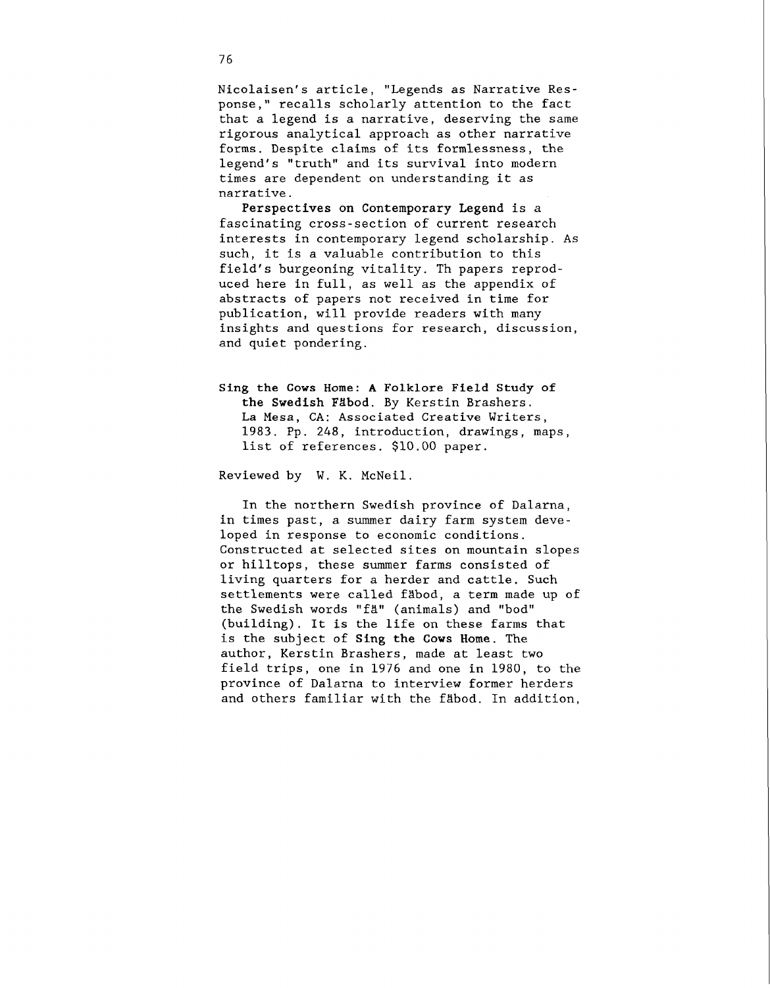Nicolaisen's article, "Legends as Narrative Response," recalls scholarly attention to the fact that a legend is a narrative, deserving the same rigorous analytical approach as other narrative forms. Despite claims of its formlessness, the legend's "truth" and its survival into modern times are dependent on understanding it as narrative.

Perspectives on Contemporary Legend is a fascinating cross-section of current research interests in contemporary legend scholarship. As such, it is a valuable contribution to this field's burgeoning vitality. Th papers reproduced here in full, as well as the appendix of abstracts of papers not received in time for publication, will provide readers with many insights and questions for research, discussion, and quiet pondering.

Sing the Cows Home: A Folklore Field Study of the Swedish Fäbod. By Kerstin Brashers. La Mesa, CA: Associated Creative Writers, 1983. Pp. 248, introduction, drawings, maps, list of references. \$10.00 paper.

Reviewed by W. K. McNeil.

In the northern Swedish province of Dalarna, in times past, a summer dairy farm system developed in response to economic conditions. Constructed at selected sites on mountain slopes or hilltops, these summer farms consisted of living quarters for a herder and cattle. Such settlements were called fäbod, a term made up of the Swedish words "fä" (animals) and "bod" (building). It is the life on these farms that is the subject of Sing the Cows Home. The author, Kerstin Brashers, made at least two field trips, one in 1976 and one in 1980, to the province of Dalarna to interview former herders and others familiar with the fabod. In addition,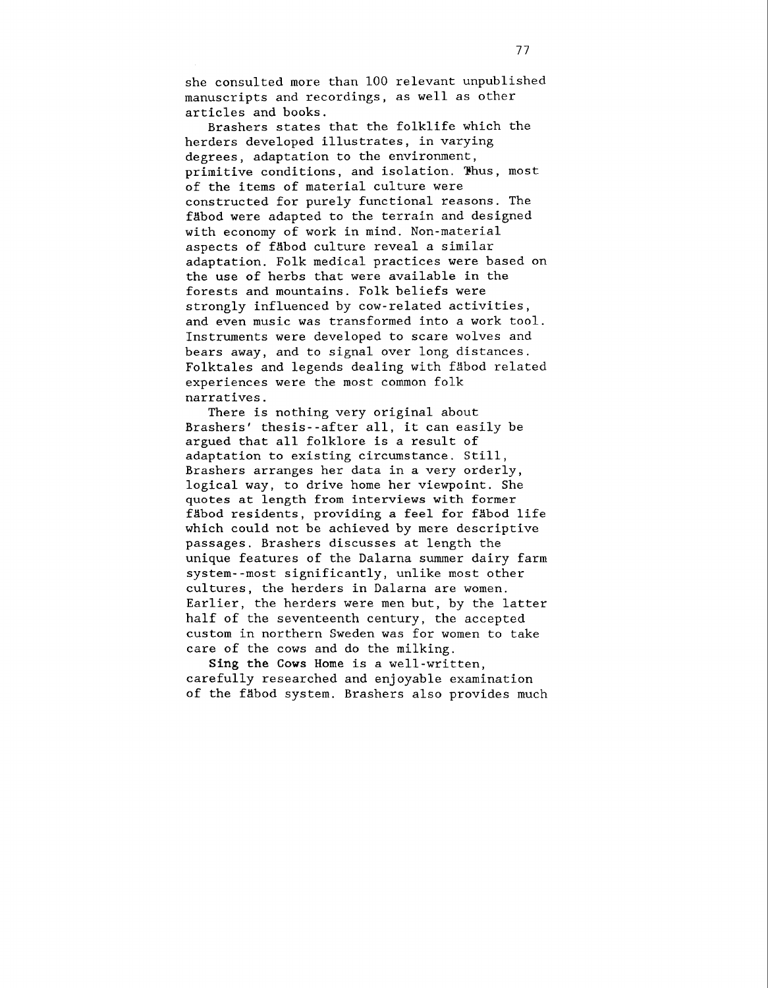she consulted more than 100 relevant unpublished manuscripts and recordings, as well as other articles and books.

Brashers states that the folklife which the herders developed illustrates, in varying degrees, adaptation to the environment, primitive conditions, and isolation. Yhus, most of the items of material culture were constructed for purely functional reasons. The fäbod were adapted to the terrain and designed with economy of work in mind. Non-material aspects of fgbod culture reveal a similar adaptation. Folk medical practices were based on the use of herbs that were available in the forests and mountains. Folk beliefs were strongly influenced by cow-related activities, and even music was transformed into a work tool. Instruments were developed to scare wolves and bears away, and to signal over long distances. Folktales and legends dealing with fäbod related experiences were the most common folk narratives.

There is nothing very original about Brashers' thesis--after all, it can easily be argued that all folklore is a result of adaptation to existing circumstance. Still, Brashers arranges her data in a very orderly, logical way, to drive home her viewpoint. She quotes at length from interviews with former fabod residents, providing a feel for fabod life which could not be achieved by mere descriptive passages. Brashers discusses at length the unique features of the Dalarna summer dairy farm system--most significantly, unlike most other cultures, the herders in Dalarna are women. Earlier, the herders were men but, by the latter half of the seventeenth century, the accepted custom in northern Sweden was for women to take care of the cows and do the milking.

Sing the **Cows** Home is a well-written, carefully researched and enjoyable examination of the fäbod system. Brashers also provides much